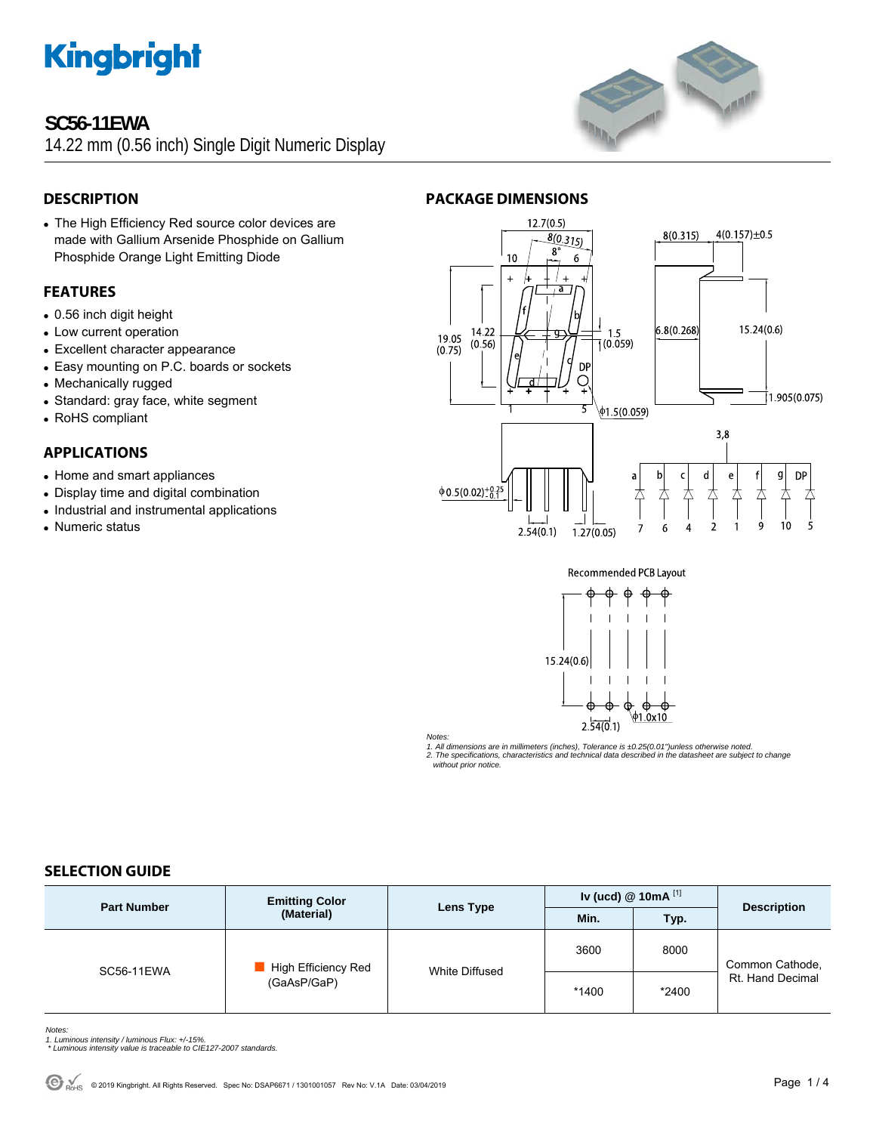### **SC56-11EWA**

14.22 mm (0.56 inch) Single Digit Numeric Display



• The High Efficiency Red source color devices are made with Gallium Arsenide Phosphide on Gallium Phosphide Orange Light Emitting Diode

### **FEATURES**

- $\bullet$  0.56 inch digit height
- Low current operation
- Excellent character appearance
- Easy mounting on P.C. boards or sockets
- Mechanically rugged
- Standard: gray face, white segment
- RoHS compliant

#### **APPLICATIONS**

- Home and smart appliances
- Display time and digital combination
- Industrial and instrumental applications
- Numeric status







*Notes:* 

*1. All dimensions are in millimeters (inches), Tolerance is ±0.25(0.01")unless otherwise noted. 2. The specifications, characteristics and technical data described in the datasheet are subject to change* 

 *without prior notice.* 

#### **SELECTION GUIDE**

| <b>Part Number</b> | <b>Emitting Color</b><br>(Material) | Lens Type      | Iv (ucd) $@$ 10mA $^{[1]}$ |       | <b>Description</b>                  |
|--------------------|-------------------------------------|----------------|----------------------------|-------|-------------------------------------|
|                    |                                     |                | Min.                       | Typ.  |                                     |
| <b>SC56-11EWA</b>  | High Efficiency Red<br>(GaAsP/GaP)  | White Diffused | 3600                       | 8000  | Common Cathode,<br>Rt. Hand Decimal |
|                    |                                     |                | *1400                      | *2400 |                                     |

*Notes:* 

- 
- *1. Luminous intensity / luminous Flux: +/-15%. \* Luminous intensity value is traceable to CIE127-2007 standards.*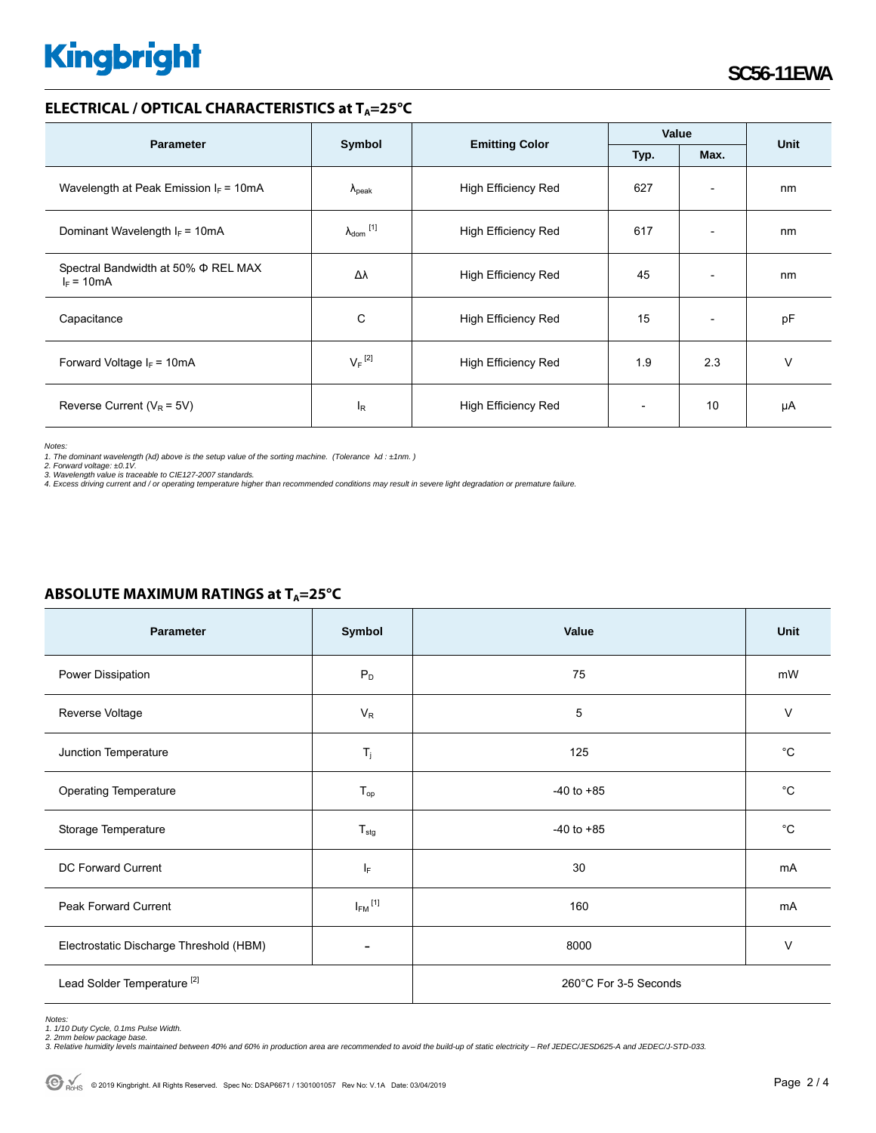#### **ELECTRICAL / OPTICAL CHARACTERISTICS at T<sub>A</sub>=25°C**

|                                                     | Symbol                         |                            | Value |                              |             |
|-----------------------------------------------------|--------------------------------|----------------------------|-------|------------------------------|-------------|
| <b>Parameter</b>                                    |                                | <b>Emitting Color</b>      | Typ.  | Max.                         | <b>Unit</b> |
| Wavelength at Peak Emission $I_F = 10mA$            | $\Lambda_{\rm peak}$           | <b>High Efficiency Red</b> | 627   | $\overline{\phantom{a}}$     | nm          |
| Dominant Wavelength $I_F = 10mA$                    | $\lambda_{dom}$ <sup>[1]</sup> | <b>High Efficiency Red</b> | 617   | $\overline{\phantom{0}}$     | nm          |
| Spectral Bandwidth at 50% Φ REL MAX<br>$I_F = 10mA$ | Δλ                             | <b>High Efficiency Red</b> | 45    | $\qquad \qquad \blacksquare$ | nm          |
| Capacitance                                         | C                              | High Efficiency Red        | 15    | $\overline{\phantom{0}}$     | pF          |
| Forward Voltage $I_F$ = 10mA                        | $V_F$ <sup>[2]</sup>           | <b>High Efficiency Red</b> | 1.9   | 2.3                          | $\vee$      |
| Reverse Current ( $V_R$ = 5V)                       | $I_R$                          | High Efficiency Red        |       | 10                           | μA          |

*Notes:* 

**ABSOLUTE MAXIMUM RATINGS at T<sub>A</sub>=25°C** 

1. The dominant wavelength (λd) above is the setup value of the sorting machine. (Tolerance λd : ±1nm. )<br>2. Forward voltage: ±0.1V.<br>3. Wavelength value is traceable to CIE127-2007 standards.<br>4. Excess driving current and

| <b>Parameter</b>                        | Symbol                   | Value                 | Unit         |  |
|-----------------------------------------|--------------------------|-----------------------|--------------|--|
| Power Dissipation                       | $P_D$                    | 75                    | mW           |  |
| Reverse Voltage                         | $V_R$                    | 5                     | $\vee$       |  |
| Junction Temperature                    | $\mathsf{T}_j$           | 125                   | °C           |  |
| <b>Operating Temperature</b>            | $T_{op}$                 | $-40$ to $+85$        | $^{\circ}$ C |  |
| Storage Temperature                     | $T_{\text{stg}}$         | $-40$ to $+85$        | $^{\circ}$ C |  |
| <b>DC Forward Current</b>               | ΙF                       | 30                    | mA           |  |
| Peak Forward Current                    | $I_{FM}$ <sup>[1]</sup>  | 160                   | mA           |  |
| Electrostatic Discharge Threshold (HBM) | $\overline{\phantom{a}}$ | 8000                  | V            |  |
| Lead Solder Temperature <sup>[2]</sup>  |                          | 260°C For 3-5 Seconds |              |  |

*Notes: 1. 1/10 Duty Cycle, 0.1ms Pulse Width.* 

*2. 2mm below package base. 3. Relative humidity levels maintained between 40% and 60% in production area are recommended to avoid the build-up of static electricity – Ref JEDEC/JESD625-A and JEDEC/J-STD-033.*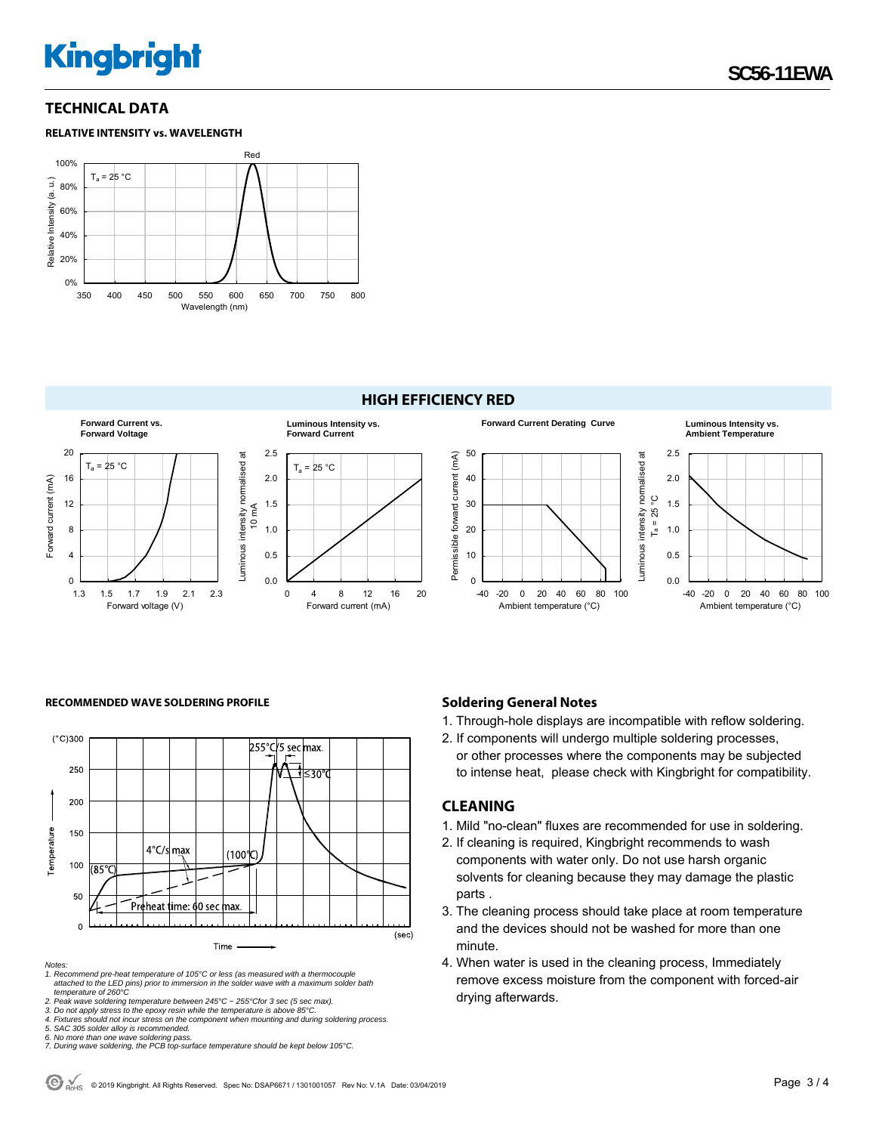**SC56-11EWA** 

#### **TECHNICAL DATA**

#### **RELATIVE INTENSITY vs. WAVELENGTH**





RECOMMENDED WAVE SOLDERING PROFILE **Soldering General Notes Soldering General Notes** 



*Notes:* 

Forward current (mA)

Forward current (mA)

*1. Recommend pre-heat temperature of 105°C or less (as measured with a thermocouple attached to the LED pins) prior to immersion in the solder wave with a maximum solder bath temperature of 260°C* 

*2. Peak wave soldering temperature between 245°C ~ 255°Cfor 3 sec (5 sec max).* 

*3. Do not apply stress to the epoxy resin while the temperature is above 85°C.* 

*4. Fixtures should not incur stress on the component when mounting and during soldering process. 5. SAC 305 solder alloy is recommended.* 

*6. No more than one wave soldering pass. 7. During wave soldering, the PCB top-surface temperature should be kept below 105°C.*

1. Through-hole displays are incompatible with reflow soldering.

2. If components will undergo multiple soldering processes, or other processes where the components may be subjected to intense heat, please check with Kingbright for compatibility.

#### **CLEANING**

- 1. Mild "no-clean" fluxes are recommended for use in soldering.
- 2. If cleaning is required, Kingbright recommends to wash components with water only. Do not use harsh organic solvents for cleaning because they may damage the plastic parts .
- 3. The cleaning process should take place at room temperature and the devices should not be washed for more than one minute.
- 4. When water is used in the cleaning process, Immediately remove excess moisture from the component with forced-air drying afterwards.